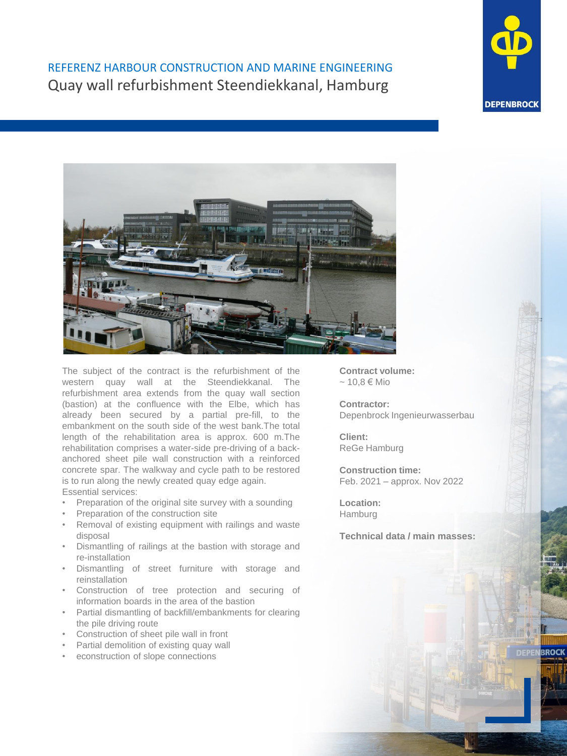## REFERENZ HARBOUR CONSTRUCTION AND MARINE ENGINEERING Quay wall refurbishment Steendiekkanal, Hamburg



**BROCK** 



The subject of the contract is the refurbishment of the western quay wall at the Steendiekkanal. The refurbishment area extends from the quay wall section (bastion) at the confluence with the Elbe, which has already been secured by a partial pre-fill, to the embankment on the south side of the west bank.The total length of the rehabilitation area is approx. 600 m.The rehabilitation comprises a water-side pre-driving of a backanchored sheet pile wall construction with a reinforced concrete spar. The walkway and cycle path to be restored is to run along the newly created quay edge again. Essential services:

- Preparation of the original site survey with a sounding
- Preparation of the construction site
- Removal of existing equipment with railings and waste disposal
- Dismantling of railings at the bastion with storage and re-installation
- Dismantling of street furniture with storage and reinstallation
- Construction of tree protection and securing of information boards in the area of the bastion
- Partial dismantling of backfill/embankments for clearing the pile driving route
- Construction of sheet pile wall in front
- Partial demolition of existing quay wall
- econstruction of slope connections

**Contract volume:**  $~10.8$  € Mio

**Contractor:**  Depenbrock Ingenieurwasserbau

**Client:** ReGe Hamburg

**Construction time:**  Feb. 2021 – approx. Nov 2022

**Location:**  Hamburg

**Technical data / main masses:**